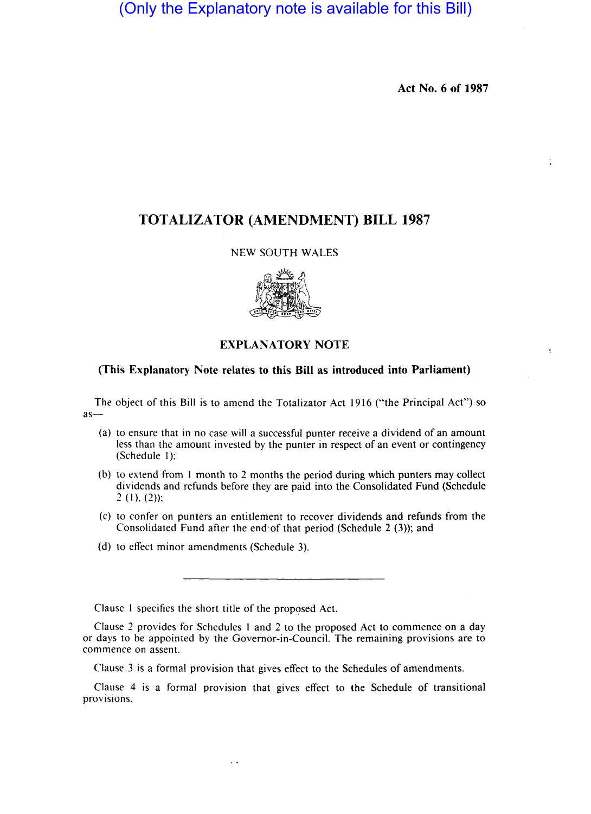(Only the Explanatory note is available for this Bill)

**Act No. 6 of 1987** 

# **TOTALIZATOR (AMENDMENT) BILL 1987**

### NEW SOUTH WALES



## **EXPLANATORY NOTE**

#### **(This Explanatory Note relates to this Bill as introduced into Parliament)**

The object of this Bill is to amend the Totalizator Act 1916 ("the Principal Act") so  $as-$ 

- (a) to ensure that in no case will a successful punter receive a dividend of an amount less than the amount invested by the punter in respect of an event or contingency (Schedule I):
- (b) to extend from I month to 2 months the period during which punters may collect dividends and refunds before they are paid into the Consolidated Fund (Schedule  $2(1), (2)$ :
- (c) to confer on punters an entitlement to recover dividends and refunds from the Consolidated Fund after the end of that period (Schedule  $2(3)$ ); and
- (d) to effect minor amendments (Schedule 3),

Clause I specifies the short title of the proposed Act.

 $\ddot{\phantom{a}}$ 

Clause 2 provides for Schedules I and 2 to the proposed Act to commence on a day or days to be appointed by the Governor-in-Council. The remaining provisions are to commence on assent.

Clause 3 is a formal provision that gives effect to the Schedules of amendments,

Clause 4 is a formal provision that gives effect to the Schedule of transitional provisions.